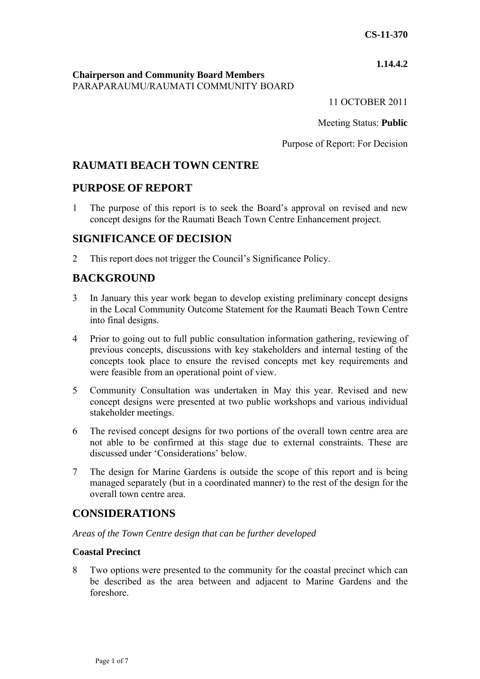### **1.14.4.2**

### **Chairperson and Community Board Members** PARAPARAUMU/RAUMATI COMMUNITY BOARD

11 OCTOBER 2011

Meeting Status: **Public**

Purpose of Report: For Decision

# **RAUMATI BEACH TOWN CENTRE**

## **PURPOSE OF REPORT**

1 The purpose of this report is to seek the Board's approval on revised and new concept designs for the Raumati Beach Town Centre Enhancement project.

## **SIGNIFICANCE OF DECISION**

2 This report does not trigger the Council's Significance Policy.

# **BACKGROUND**

- 3 In January this year work began to develop existing preliminary concept designs in the Local Community Outcome Statement for the Raumati Beach Town Centre into final designs.
- 4 Prior to going out to full public consultation information gathering, reviewing of previous concepts, discussions with key stakeholders and internal testing of the concepts took place to ensure the revised concepts met key requirements and were feasible from an operational point of view.
- 5 Community Consultation was undertaken in May this year. Revised and new concept designs were presented at two public workshops and various individual stakeholder meetings.
- 6 The revised concept designs for two portions of the overall town centre area are not able to be confirmed at this stage due to external constraints. These are discussed under 'Considerations' below.
- 7 The design for Marine Gardens is outside the scope of this report and is being managed separately (but in a coordinated manner) to the rest of the design for the overall town centre area.

## **CONSIDERATIONS**

#### *Areas of the Town Centre design that can be further developed*

#### **Coastal Precinct**

8 Two options were presented to the community for the coastal precinct which can be described as the area between and adjacent to Marine Gardens and the foreshore.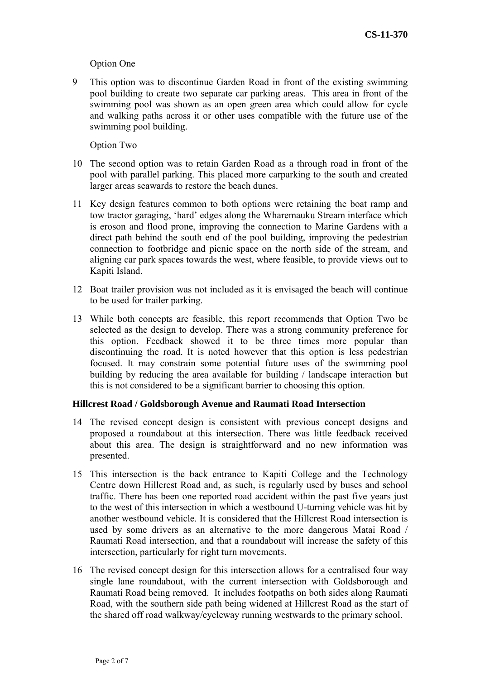#### Option One

9 This option was to discontinue Garden Road in front of the existing swimming pool building to create two separate car parking areas. This area in front of the swimming pool was shown as an open green area which could allow for cycle and walking paths across it or other uses compatible with the future use of the swimming pool building.

Option Two

- 10 The second option was to retain Garden Road as a through road in front of the pool with parallel parking. This placed more carparking to the south and created larger areas seawards to restore the beach dunes.
- 11 Key design features common to both options were retaining the boat ramp and tow tractor garaging, 'hard' edges along the Wharemauku Stream interface which is eroson and flood prone, improving the connection to Marine Gardens with a direct path behind the south end of the pool building, improving the pedestrian connection to footbridge and picnic space on the north side of the stream, and aligning car park spaces towards the west, where feasible, to provide views out to Kapiti Island.
- 12 Boat trailer provision was not included as it is envisaged the beach will continue to be used for trailer parking.
- 13 While both concepts are feasible, this report recommends that Option Two be selected as the design to develop. There was a strong community preference for this option. Feedback showed it to be three times more popular than discontinuing the road. It is noted however that this option is less pedestrian focused. It may constrain some potential future uses of the swimming pool building by reducing the area available for building / landscape interaction but this is not considered to be a significant barrier to choosing this option.

#### **Hillcrest Road / Goldsborough Avenue and Raumati Road Intersection**

- 14 The revised concept design is consistent with previous concept designs and proposed a roundabout at this intersection. There was little feedback received about this area. The design is straightforward and no new information was presented.
- 15 This intersection is the back entrance to Kapiti College and the Technology Centre down Hillcrest Road and, as such, is regularly used by buses and school traffic. There has been one reported road accident within the past five years just to the west of this intersection in which a westbound U-turning vehicle was hit by another westbound vehicle. It is considered that the Hillcrest Road intersection is used by some drivers as an alternative to the more dangerous Matai Road / Raumati Road intersection, and that a roundabout will increase the safety of this intersection, particularly for right turn movements.
- 16 The revised concept design for this intersection allows for a centralised four way single lane roundabout, with the current intersection with Goldsborough and Raumati Road being removed. It includes footpaths on both sides along Raumati Road, with the southern side path being widened at Hillcrest Road as the start of the shared off road walkway/cycleway running westwards to the primary school.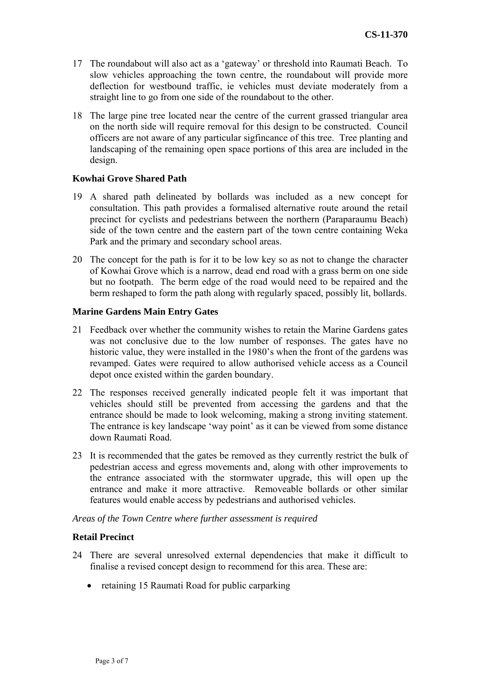- 17 The roundabout will also act as a 'gateway' or threshold into Raumati Beach. To slow vehicles approaching the town centre, the roundabout will provide more deflection for westbound traffic, ie vehicles must deviate moderately from a straight line to go from one side of the roundabout to the other.
- 18 The large pine tree located near the centre of the current grassed triangular area on the north side will require removal for this design to be constructed. Council officers are not aware of any particular sigfincance of this tree. Tree planting and landscaping of the remaining open space portions of this area are included in the design.

#### **Kowhai Grove Shared Path**

- 19 A shared path delineated by bollards was included as a new concept for consultation. This path provides a formalised alternative route around the retail precinct for cyclists and pedestrians between the northern (Paraparaumu Beach) side of the town centre and the eastern part of the town centre containing Weka Park and the primary and secondary school areas.
- 20 The concept for the path is for it to be low key so as not to change the character of Kowhai Grove which is a narrow, dead end road with a grass berm on one side but no footpath. The berm edge of the road would need to be repaired and the berm reshaped to form the path along with regularly spaced, possibly lit, bollards.

#### **Marine Gardens Main Entry Gates**

- 21 Feedback over whether the community wishes to retain the Marine Gardens gates was not conclusive due to the low number of responses. The gates have no historic value, they were installed in the 1980's when the front of the gardens was revamped. Gates were required to allow authorised vehicle access as a Council depot once existed within the garden boundary.
- 22 The responses received generally indicated people felt it was important that vehicles should still be prevented from accessing the gardens and that the entrance should be made to look welcoming, making a strong inviting statement. The entrance is key landscape 'way point' as it can be viewed from some distance down Raumati Road.
- 23 It is recommended that the gates be removed as they currently restrict the bulk of pedestrian access and egress movements and, along with other improvements to the entrance associated with the stormwater upgrade, this will open up the entrance and make it more attractive. Removeable bollards or other similar features would enable access by pedestrians and authorised vehicles.

*Areas of the Town Centre where further assessment is required* 

#### **Retail Precinct**

- 24 There are several unresolved external dependencies that make it difficult to finalise a revised concept design to recommend for this area. These are:
	- retaining 15 Raumati Road for public carparking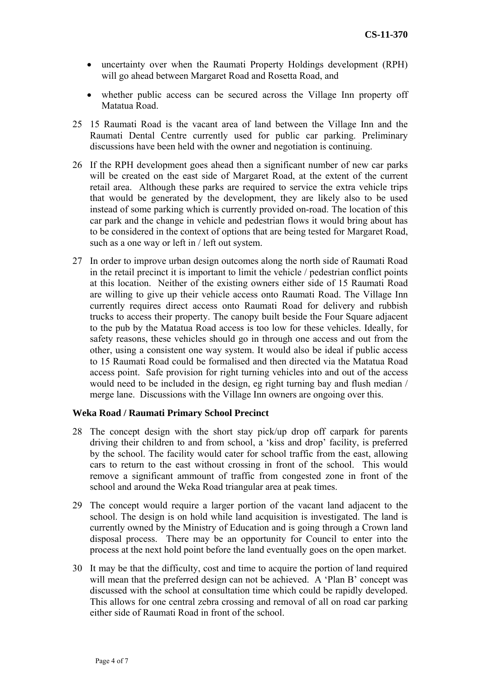- uncertainty over when the Raumati Property Holdings development (RPH) will go ahead between Margaret Road and Rosetta Road, and
- whether public access can be secured across the Village Inn property off Matatua Road.
- 25 15 Raumati Road is the vacant area of land between the Village Inn and the Raumati Dental Centre currently used for public car parking. Preliminary discussions have been held with the owner and negotiation is continuing.
- 26 If the RPH development goes ahead then a significant number of new car parks will be created on the east side of Margaret Road, at the extent of the current retail area. Although these parks are required to service the extra vehicle trips that would be generated by the development, they are likely also to be used instead of some parking which is currently provided on-road. The location of this car park and the change in vehicle and pedestrian flows it would bring about has to be considered in the context of options that are being tested for Margaret Road, such as a one way or left in / left out system.
- 27 In order to improve urban design outcomes along the north side of Raumati Road in the retail precinct it is important to limit the vehicle / pedestrian conflict points at this location. Neither of the existing owners either side of 15 Raumati Road are willing to give up their vehicle access onto Raumati Road. The Village Inn currently requires direct access onto Raumati Road for delivery and rubbish trucks to access their property. The canopy built beside the Four Square adjacent to the pub by the Matatua Road access is too low for these vehicles. Ideally, for safety reasons, these vehicles should go in through one access and out from the other, using a consistent one way system. It would also be ideal if public access to 15 Raumati Road could be formalised and then directed via the Matatua Road access point. Safe provision for right turning vehicles into and out of the access would need to be included in the design, eg right turning bay and flush median / merge lane. Discussions with the Village Inn owners are ongoing over this.

#### **Weka Road / Raumati Primary School Precinct**

- 28 The concept design with the short stay pick/up drop off carpark for parents driving their children to and from school, a 'kiss and drop' facility, is preferred by the school. The facility would cater for school traffic from the east, allowing cars to return to the east without crossing in front of the school. This would remove a significant ammount of traffic from congested zone in front of the school and around the Weka Road triangular area at peak times.
- 29 The concept would require a larger portion of the vacant land adjacent to the school. The design is on hold while land acquisition is investigated. The land is currently owned by the Ministry of Education and is going through a Crown land disposal process. There may be an opportunity for Council to enter into the process at the next hold point before the land eventually goes on the open market.
- 30 It may be that the difficulty, cost and time to acquire the portion of land required will mean that the preferred design can not be achieved. A 'Plan B' concept was discussed with the school at consultation time which could be rapidly developed. This allows for one central zebra crossing and removal of all on road car parking either side of Raumati Road in front of the school.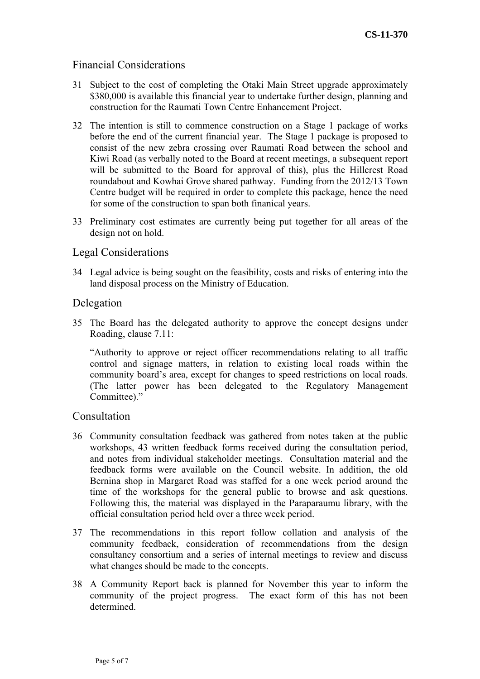## Financial Considerations

- 31 Subject to the cost of completing the Otaki Main Street upgrade approximately \$380,000 is available this financial year to undertake further design, planning and construction for the Raumati Town Centre Enhancement Project.
- 32 The intention is still to commence construction on a Stage 1 package of works before the end of the current financial year. The Stage 1 package is proposed to consist of the new zebra crossing over Raumati Road between the school and Kiwi Road (as verbally noted to the Board at recent meetings, a subsequent report will be submitted to the Board for approval of this), plus the Hillcrest Road roundabout and Kowhai Grove shared pathway. Funding from the 2012/13 Town Centre budget will be required in order to complete this package, hence the need for some of the construction to span both finanical years.
- 33 Preliminary cost estimates are currently being put together for all areas of the design not on hold.

### Legal Considerations

34 Legal advice is being sought on the feasibility, costs and risks of entering into the land disposal process on the Ministry of Education.

### Delegation

35 The Board has the delegated authority to approve the concept designs under Roading, clause 7.11:

"Authority to approve or reject officer recommendations relating to all traffic control and signage matters, in relation to existing local roads within the community board's area, except for changes to speed restrictions on local roads. (The latter power has been delegated to the Regulatory Management Committee)."

#### **Consultation**

- 36 Community consultation feedback was gathered from notes taken at the public workshops, 43 written feedback forms received during the consultation period, and notes from individual stakeholder meetings. Consultation material and the feedback forms were available on the Council website. In addition, the old Bernina shop in Margaret Road was staffed for a one week period around the time of the workshops for the general public to browse and ask questions. Following this, the material was displayed in the Paraparaumu library, with the official consultation period held over a three week period.
- 37 The recommendations in this report follow collation and analysis of the community feedback, consideration of recommendations from the design consultancy consortium and a series of internal meetings to review and discuss what changes should be made to the concepts.
- 38 A Community Report back is planned for November this year to inform the community of the project progress. The exact form of this has not been determined.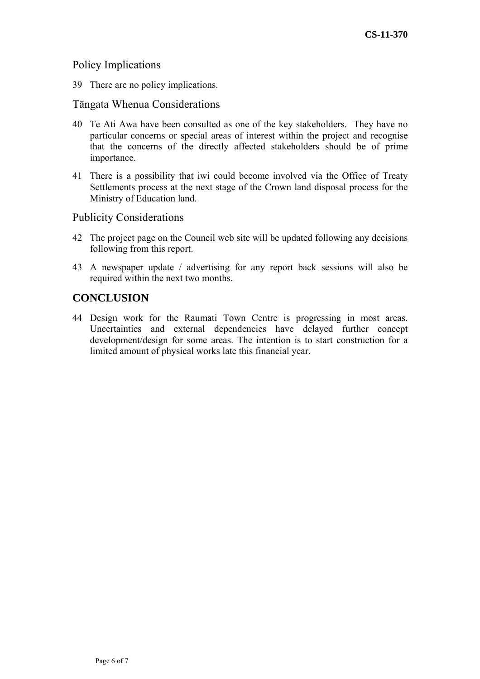## Policy Implications

39 There are no policy implications.

## Tāngata Whenua Considerations

- 40 Te Ati Awa have been consulted as one of the key stakeholders. They have no particular concerns or special areas of interest within the project and recognise that the concerns of the directly affected stakeholders should be of prime importance.
- 41 There is a possibility that iwi could become involved via the Office of Treaty Settlements process at the next stage of the Crown land disposal process for the Ministry of Education land.

### Publicity Considerations

- 42 The project page on the Council web site will be updated following any decisions following from this report.
- 43 A newspaper update / advertising for any report back sessions will also be required within the next two months.

## **CONCLUSION**

44 Design work for the Raumati Town Centre is progressing in most areas. Uncertainties and external dependencies have delayed further concept development/design for some areas. The intention is to start construction for a limited amount of physical works late this financial year.